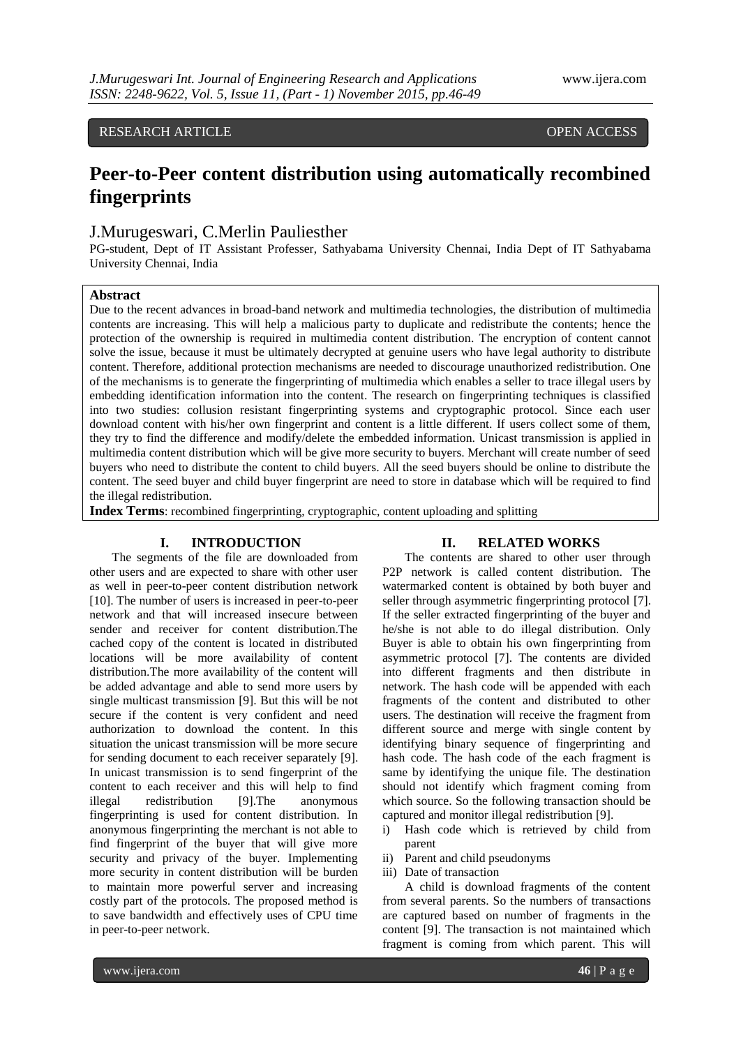## RESEARCH ARTICLE **CONSERVERS** OPEN ACCESS

## **Peer-to-Peer content distribution using automatically recombined fingerprints**

## J.Murugeswari, C.Merlin Pauliesther

PG-student, Dept of IT Assistant Professer, Sathyabama University Chennai, India Dept of IT Sathyabama University Chennai, India

## **Abstract**

Due to the recent advances in broad-band network and multimedia technologies, the distribution of multimedia contents are increasing. This will help a malicious party to duplicate and redistribute the contents; hence the protection of the ownership is required in multimedia content distribution. The encryption of content cannot solve the issue, because it must be ultimately decrypted at genuine users who have legal authority to distribute content. Therefore, additional protection mechanisms are needed to discourage unauthorized redistribution. One of the mechanisms is to generate the fingerprinting of multimedia which enables a seller to trace illegal users by embedding identification information into the content. The research on fingerprinting techniques is classified into two studies: collusion resistant fingerprinting systems and cryptographic protocol. Since each user download content with his/her own fingerprint and content is a little different. If users collect some of them, they try to find the difference and modify/delete the embedded information. Unicast transmission is applied in multimedia content distribution which will be give more security to buyers. Merchant will create number of seed buyers who need to distribute the content to child buyers. All the seed buyers should be online to distribute the content. The seed buyer and child buyer fingerprint are need to store in database which will be required to find the illegal redistribution.

**Index Terms**: recombined fingerprinting, cryptographic, content uploading and splitting

## **I. INTRODUCTION**

# The segments of the file are downloaded from other users and are expected to share with other user as well in peer-to-peer content distribution network [10]. The number of users is increased in peer-to-peer network and that will increased insecure between sender and receiver for content distribution.The

cached copy of the content is located in distributed locations will be more availability of content distribution.The more availability of the content will be added advantage and able to send more users by single multicast transmission [9]. But this will be not secure if the content is very confident and need authorization to download the content. In this situation the unicast transmission will be more secure for sending document to each receiver separately [9]. In unicast transmission is to send fingerprint of the content to each receiver and this will help to find illegal redistribution [9].The anonymous fingerprinting is used for content distribution. In anonymous fingerprinting the merchant is not able to find fingerprint of the buyer that will give more security and privacy of the buyer. Implementing more security in content distribution will be burden to maintain more powerful server and increasing costly part of the protocols. The proposed method is to save bandwidth and effectively uses of CPU time in peer-to-peer network.

#### **II. RELATED WORKS**

The contents are shared to other user through P2P network is called content distribution. The watermarked content is obtained by both buyer and seller through asymmetric fingerprinting protocol [7]. If the seller extracted fingerprinting of the buyer and he/she is not able to do illegal distribution. Only Buyer is able to obtain his own fingerprinting from asymmetric protocol [7]. The contents are divided into different fragments and then distribute in network. The hash code will be appended with each fragments of the content and distributed to other users. The destination will receive the fragment from different source and merge with single content by identifying binary sequence of fingerprinting and hash code. The hash code of the each fragment is same by identifying the unique file. The destination should not identify which fragment coming from which source. So the following transaction should be captured and monitor illegal redistribution [9].

- i) Hash code which is retrieved by child from parent
- ii) Parent and child pseudonyms
- iii) Date of transaction

A child is download fragments of the content from several parents. So the numbers of transactions are captured based on number of fragments in the content [9]. The transaction is not maintained which fragment is coming from which parent. This will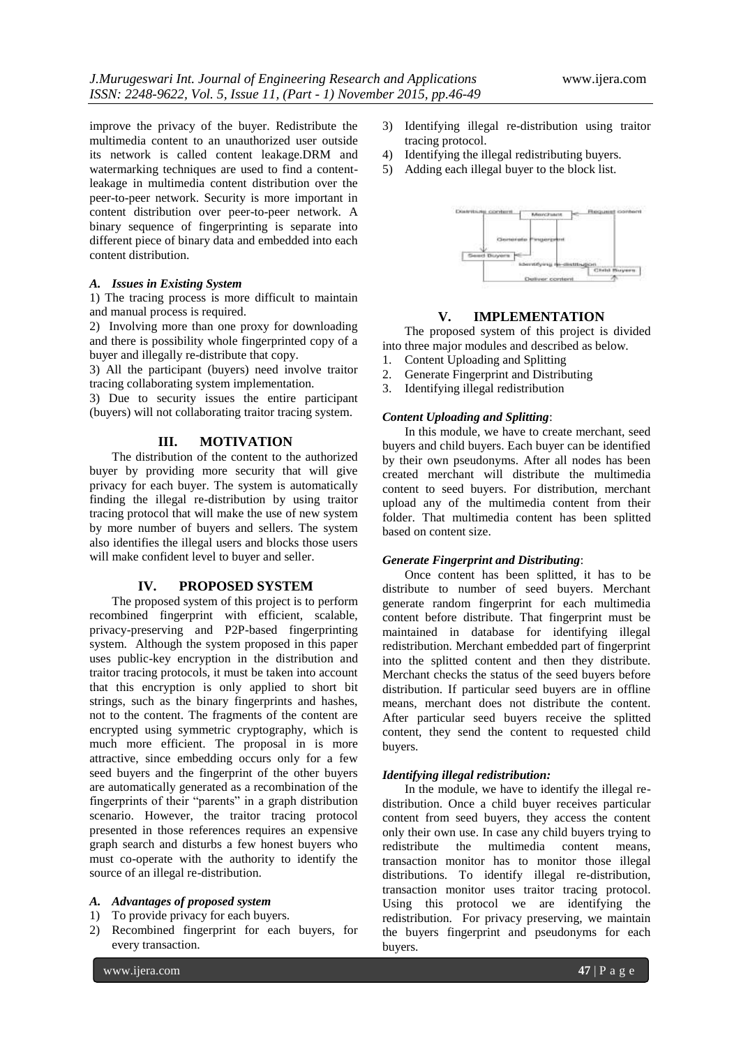improve the privacy of the buyer. Redistribute the multimedia content to an unauthorized user outside its network is called content leakage.DRM and watermarking techniques are used to find a contentleakage in multimedia content distribution over the peer-to-peer network. Security is more important in content distribution over peer-to-peer network. A binary sequence of fingerprinting is separate into different piece of binary data and embedded into each content distribution.

#### *A. Issues in Existing System*

1) The tracing process is more difficult to maintain and manual process is required.

2) Involving more than one proxy for downloading and there is possibility whole fingerprinted copy of a buyer and illegally re-distribute that copy.

3) All the participant (buyers) need involve traitor tracing collaborating system implementation.

3) Due to security issues the entire participant (buyers) will not collaborating traitor tracing system.

## **III. MOTIVATION**

The distribution of the content to the authorized buyer by providing more security that will give privacy for each buyer. The system is automatically finding the illegal re-distribution by using traitor tracing protocol that will make the use of new system by more number of buyers and sellers. The system also identifies the illegal users and blocks those users will make confident level to buyer and seller.

#### **IV. PROPOSED SYSTEM**

The proposed system of this project is to perform recombined fingerprint with efficient, scalable, privacy-preserving and P2P-based fingerprinting system. Although the system proposed in this paper uses public-key encryption in the distribution and traitor tracing protocols, it must be taken into account that this encryption is only applied to short bit strings, such as the binary fingerprints and hashes, not to the content. The fragments of the content are encrypted using symmetric cryptography, which is much more efficient. The proposal in is more attractive, since embedding occurs only for a few seed buyers and the fingerprint of the other buyers are automatically generated as a recombination of the fingerprints of their "parents" in a graph distribution scenario. However, the traitor tracing protocol presented in those references requires an expensive graph search and disturbs a few honest buyers who must co-operate with the authority to identify the source of an illegal re-distribution.

#### *A. Advantages of proposed system*

- 1) To provide privacy for each buyers.
- 2) Recombined fingerprint for each buyers, for every transaction.
- 3) Identifying illegal re-distribution using traitor tracing protocol.
- 4) Identifying the illegal redistributing buyers.
- 5) Adding each illegal buyer to the block list.



#### **V. IMPLEMENTATION**

The proposed system of this project is divided into three major modules and described as below.

- 1. Content Uploading and Splitting
- 2. Generate Fingerprint and Distributing
- 3. Identifying illegal redistribution

## *Content Uploading and Splitting*:

In this module, we have to create merchant, seed buyers and child buyers. Each buyer can be identified by their own pseudonyms. After all nodes has been created merchant will distribute the multimedia content to seed buyers. For distribution, merchant upload any of the multimedia content from their folder. That multimedia content has been splitted based on content size.

#### *Generate Fingerprint and Distributing*:

Once content has been splitted, it has to be distribute to number of seed buyers. Merchant generate random fingerprint for each multimedia content before distribute. That fingerprint must be maintained in database for identifying illegal redistribution. Merchant embedded part of fingerprint into the splitted content and then they distribute. Merchant checks the status of the seed buyers before distribution. If particular seed buyers are in offline means, merchant does not distribute the content. After particular seed buyers receive the splitted content, they send the content to requested child buyers.

## *Identifying illegal redistribution:*

In the module, we have to identify the illegal redistribution. Once a child buyer receives particular content from seed buyers, they access the content only their own use. In case any child buyers trying to redistribute the multimedia content means, transaction monitor has to monitor those illegal distributions. To identify illegal re-distribution, transaction monitor uses traitor tracing protocol. Using this protocol we are identifying the redistribution. For privacy preserving, we maintain the buyers fingerprint and pseudonyms for each buyers.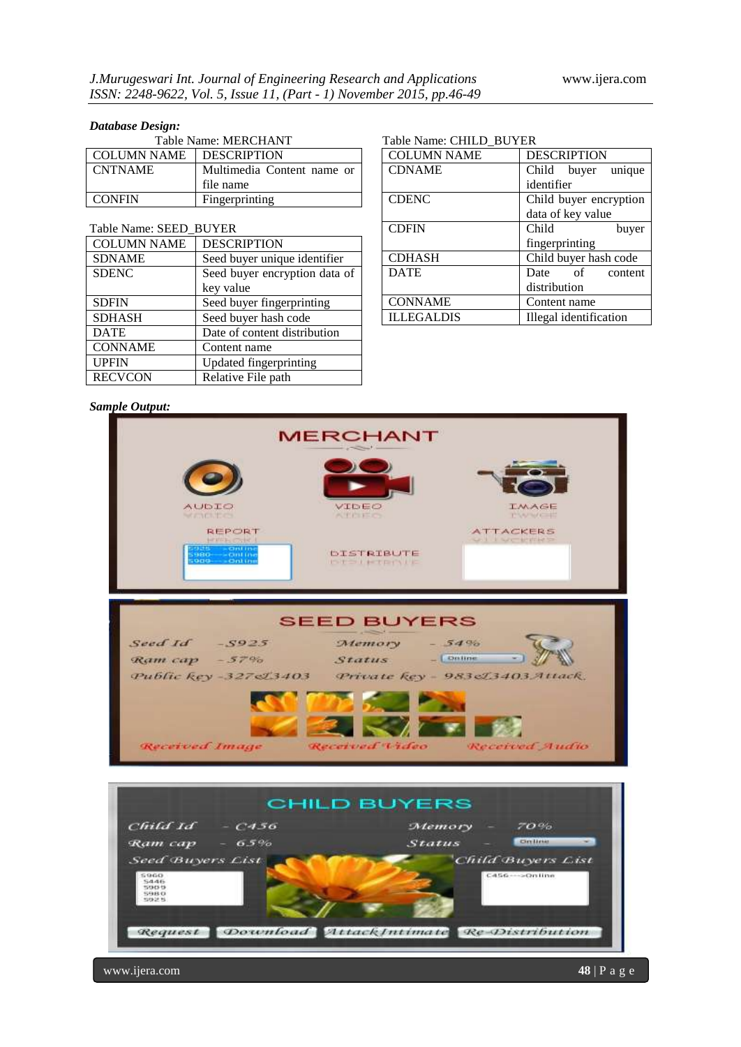## *Database Design:*

| Table Name: MERCHANT |                            |  |
|----------------------|----------------------------|--|
| <b>COLUMN NAME</b>   | <b>DESCRIPTION</b>         |  |
| <b>CNTNAME</b>       | Multimedia Content name or |  |
|                      | file name                  |  |
| <b>CONFIN</b>        | Fingerprinting             |  |

## Table Name: SEED\_BUYER

| <b>COLUMN NAME</b> | <b>DESCRIPTION</b>            |  |
|--------------------|-------------------------------|--|
| <b>SDNAME</b>      | Seed buyer unique identifier  |  |
| <b>SDENC</b>       | Seed buyer encryption data of |  |
|                    | key value                     |  |
| <b>SDFIN</b>       | Seed buyer fingerprinting     |  |
| <b>SDHASH</b>      | Seed buyer hash code          |  |
| <b>DATE</b>        | Date of content distribution  |  |
| <b>CONNAME</b>     | Content name                  |  |
| <b>UPFIN</b>       | Updated fingerprinting        |  |
| <b>RECVCON</b>     | Relative File path            |  |

## Table Name: CHILD\_BUYER

| <b>COLUMN NAME</b> | <b>DESCRIPTION</b>     |
|--------------------|------------------------|
| <b>CDNAME</b>      | Child buyer unique     |
|                    | identifier             |
| <b>CDENC</b>       | Child buyer encryption |
|                    | data of key value      |
| <b>CDFIN</b>       | Child<br>buyer         |
|                    | fingerprinting         |
| <b>CDHASH</b>      | Child buyer hash code  |
| <b>DATE</b>        | Date of content        |
|                    | distribution           |
| <b>CONNAME</b>     | Content name           |
| <b>ILLEGALDIS</b>  | Illegal identification |
|                    |                        |

#### *Sample Output:*